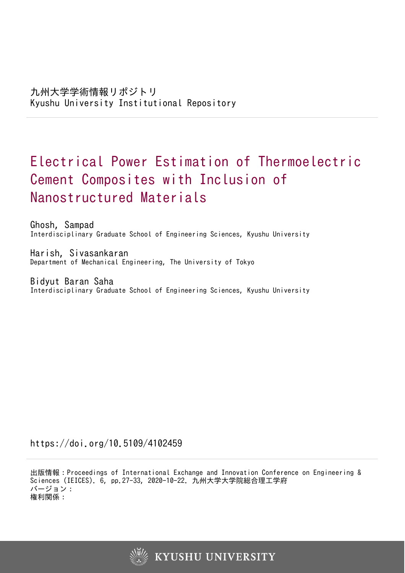# Electrical Power Estimation of Thermoelectric Cement Composites with Inclusion of Nanostructured Materials

Ghosh, Sampad Interdisciplinary Graduate School of Engineering Sciences, Kyushu University

Harish, Sivasankaran Department of Mechanical Engineering, The University of Tokyo

Bidyut Baran Saha Interdisciplinary Graduate School of Engineering Sciences, Kyushu University

https://doi.org/10.5109/4102459

出版情報:Proceedings of International Exchange and Innovation Conference on Engineering & Sciences (IEICES). 6, pp.27-33, 2020-10-22. 九州大学大学院総合理工学府 バージョン: 権利関係:

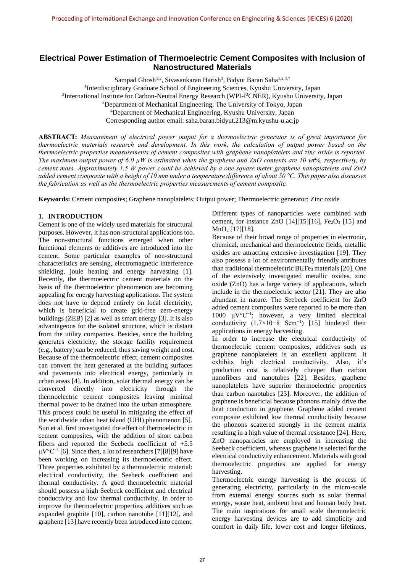# **Electrical Power Estimation of Thermoelectric Cement Composites with Inclusion of Nanostructured Materials**

Sampad Ghosh<sup>1,2</sup>, Sivasankaran Harish<sup>3</sup>, Bidyut Baran Saha<sup>1,2,4,\*</sup>

<sup>1</sup>Interdisciplinary Graduate School of Engineering Sciences, Kyushu University, Japan

2 International Institute for Carbon-Neutral Energy Research (WPI-I <sup>2</sup>CNER), Kyushu University, Japan

<sup>3</sup>Department of Mechanical Engineering, The University of Tokyo, Japan

Corresponding author email: [saha.baran.bidyut.213@m.kyushu-u.ac.jp](mailto:saha.baran.bidyut.213@m.kyushu-u.ac.jp)

**ABSTRACT:** *Measurement of electrical power output for a thermoelectric generator is of great importance for thermoelectric materials research and development. In this work, the calculation of output power based on the thermoelectric properties measurements of cement composites with graphene nanoplatelets and zinc oxide is reported. The maximum output power of 6.0 µW is estimated when the graphene and ZnO contents are 10 wt%, respectively, by cement mass. Approximately 1.5 W power could be achieved by a one square meter graphene nanoplatelets and ZnO added cement composite with a height of 10 mm under a temperature difference of about 50 °C. This paper also discusses the fabrication as well as the thermoelectric properties measurements of cement composite.*

**Keywords:** Cement composites; Graphene nanoplatelets; Output power; Thermoelectric generator; Zinc oxide

# **1. INTRODUCTION**

Cement is one of the widely used materials for structural purposes. However, it has non-structural applications too. The non-structural functions emerged when other functional elements or additives are introduced into the cement. Some particular examples of non-structural characteristics are sensing, electromagnetic interference shielding, joule heating and energy harvesting [1]. Recently, the thermoelectric cement materials on the basis of the thermoelectric phenomenon are becoming appealing for energy harvesting applications. The system does not have to depend entirely on local electricity, which is beneficial to create grid-free zero-energy buildings (ZEB) [2] as well as smart energy [3]. It is also advantageous for the isolated structure, which is distant from the utility companies. Besides, since the building generates electricity, the storage facility requirement (e.g., battery) can be reduced, thus saving weight and cost. Because of the thermoelectric effect, cement composites can convert the heat generated at the building surfaces and pavements into electrical energy, particularly in urban areas [4]. In addition, solar thermal energy can be converted directly into electricity through the thermoelectric cement composites leaving minimal thermal power to be drained into the urban atmosphere. This process could be useful in mitigating the effect of the worldwide urban heat island (UHI) phenomenon [5]. Sun et al. first investigated the effect of thermoelectric in cement composites, with the addition of short carbon fibers and reported the Seebeck coefficient of +5.5 μV°C−1 [6]. Since then, a lot of researchers [7][8][9] have been working on increasing its thermoelectric effect. Three properties exhibited by a thermoelectric material: electrical conductivity, the Seebeck coefficient and thermal conductivity. A good thermoelectric material should possess a high Seebeck coefficient and electrical conductivity and low thermal conductivity. In order to improve the thermoelectric properties, additives such as expanded graphite [10], carbon nanotube [11][12], and graphene [13] have recently been introduced into cement.

Different types of nanoparticles were combined with cement, for instance ZnO  $[14][15][16]$ , Fe<sub>2</sub>O<sub>3</sub> [15] and MnO<sub>2</sub> [17][18].

Because of their broad range of properties in electronic, chemical, mechanical and thermoelectric fields, metallic oxides are attracting extensive investigation [19]. They also possess a lot of environmentally friendly attributes than traditional thermoelectric  $Bi<sub>2</sub>Te<sub>3</sub>$  materials [20]. One of the extensively investigated metallic oxides, zinc oxide (ZnO) has a large variety of applications, which include in the thermoelectric sector [21]. They are also abundant in nature. The Seebeck coefficient for ZnO added cement composites were reported to be more than 1000 μV°C−1 ; however, a very limited electrical conductivity (1.7×10−8 Scm−1 ) [15] hindered their applications in energy harvesting.

In order to increase the electrical conductivity of thermoelectric cement composites, additives such as graphene nanoplatelets is an excellent applicant. It exhibits high electrical conductivity. Also, it's production cost is relatively cheaper than carbon nanofibers and nanotubes [22]. Besides, graphene nanoplatelets have superior thermoelectric properties than carbon nanotubes [23]. Moreover, the addition of graphene is beneficial because phonons mainly drive the heat conduction in graphene. Graphene added cement composite exhibited low thermal conductivity because the phonons scattered strongly in the cement matrix resulting in a high value of thermal resistance [24]. Here, ZnO nanoparticles are employed in increasing the Seebeck coefficient, whereas graphene is selected for the electrical conductivity enhancement. Materials with good thermoelectric properties are applied for energy harvesting.

Thermoelectric energy harvesting is the process of generating electricity, particularly in the micro-scale from external energy sources such as solar thermal energy, waste heat, ambient heat and human body heat. The main inspirations for small scale thermoelectric energy harvesting devices are to add simplicity and comfort in daily life, lower cost and longer lifetimes,

<sup>4</sup>Department of Mechanical Engineering, Kyushu University, Japan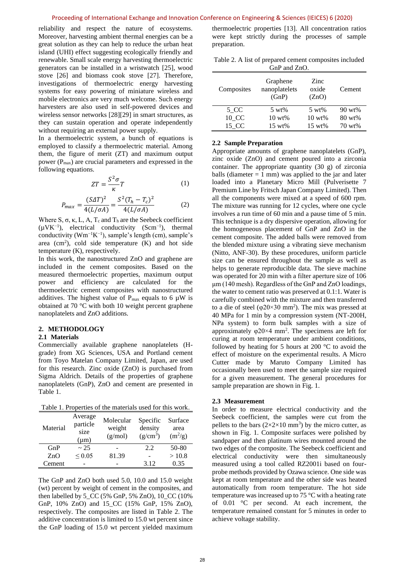reliability and respect the nature of ecosystems. Moreover, harvesting ambient thermal energies can be a great solution as they can help to reduce the urban heat island (UHI) effect suggesting ecologically friendly and renewable. Small scale energy harvesting thermoelectric generators can be installed in a wristwatch [25], wood stove [26] and biomass cook stove [27]. Therefore, investigations of thermoelectric energy harvesting systems for easy powering of miniature wireless and mobile electronics are very much welcome. Such energy harvesters are also used in self-powered devices and wireless sensor networks [28][29] in smart structures, as they can sustain operation and operate independently without requiring an external power supply.

In a thermoelectric system, a bunch of equations is employed to classify a thermoelectric material. Among them, the figure of merit (ZT) and maximum output power  $(P_{\text{max}})$  are crucial parameters and expressed in the following equations.

$$
ZT = \frac{S^2 \sigma}{\kappa} T \tag{1}
$$

$$
P_{max} = \frac{(S\Delta T)^2}{4(L/\sigma A)} = \frac{S^2 (T_h - T_c)^2}{4(L/\sigma A)}
$$
(2)

Where S,  $\sigma$ ,  $\kappa$ , L, A, T<sub>c</sub> and T<sub>h</sub> are the Seebeck coefficient  $(\mu V K^{-1})$ , electrical conductivity  $(Scm^{-1})$ , thermal conductivity ( $Wm^{-1}K^{-1}$ ), sample's length (cm), sample's area  $(cm<sup>2</sup>)$ , cold side temperature  $(K)$  and hot side temperature (K), respectively.

In this work, the nanostructured ZnO and graphene are included in the cement composites. Based on the measured thermoelectric properties, maximum output power and efficiency are calculated for the thermoelectric cement composites with nanostructured additives. The highest value of  $P_{\text{max}}$  equals to 6  $\mu$ W is obtained at 70 °C with both 10 weight percent graphene nanoplatelets and ZnO additions.

#### **2. METHODOLOGY**

# **2.1 Materials**

Commercially available graphene nanoplatelets (Hgrade) from XG Sciences, USA and Portland cement from Toyo Matelan Company Limited, Japan, are used for this research. Zinc oxide (ZnO) is purchased from Sigma Aldrich. Details of the properties of graphene nanoplatelets (GnP), ZnO and cement are presented in [Table 1.](#page-2-0)

<span id="page-2-0"></span>Table 1. Properties of the materials used for this work.

| Material | Average<br>particle<br>size<br>$(\mu m)$ | Molecular<br>weight<br>(g/mol) | Specific<br>density<br>$(g/cm^3)$ | Surface<br>area<br>$(m^2/g)$ |
|----------|------------------------------------------|--------------------------------|-----------------------------------|------------------------------|
| GnP      | ~25                                      |                                | 2.2                               | 50-80                        |
| ZnO      | $\leq 0.05$                              | 81.39                          |                                   | >10.8                        |
| Cement   |                                          |                                | 3.12                              | 0.35                         |

The GnP and ZnO both used 5.0, 10.0 and 15.0 weight (wt) percent by weight of cement in the composites, and then labelled by 5\_CC (5% GnP, 5% ZnO), 10\_CC (10% GnP, 10% ZnO) and 15\_CC (15% GnP, 15% ZnO), respectively. The composites are listed in [Table 2.](#page-2-1) The additive concentration is limited to 15.0 wt percent since the GnP loading of 15.0 wt percent yielded maximum thermoelectric properties [13]. All concentration ratios were kept strictly during the processes of sample preparation.

<span id="page-2-1"></span>Table 2. A list of prepared cement composites included GnP and ZnO.

| Composites | Graphene<br>nanoplatelets<br>(GnP) | Zinc<br>oxide<br>(ZnO) | Cement            |
|------------|------------------------------------|------------------------|-------------------|
| 5 CC       | $5 \text{ wt\%}$                   | $5 \text{ wt\%}$       | $90 \text{ wt\%}$ |
| 10 CC      | $10 \text{ wt\%}$                  | $10 \text{ wt\%}$      | $80 \text{ wt\%}$ |
| 15 CC      | $15 \text{ wt\%}$                  | $15 \text{ wt\%}$      | 70 wt%            |

#### **2.2 Sample Preparation**

Appropriate amounts of graphene nanoplatelets (GnP), zinc oxide (ZnO) and cement poured into a zirconia container. The appropriate quantity (30 g) of zirconia balls (diameter  $= 1$  mm) was applied to the jar and later loaded into a Planetary Micro Mill (Pulverisette 7 Premium Line by Fritsch Japan Company Limited). Then all the components were mixed at a speed of 600 rpm. The mixture was running for 12 cycles, where one cycle involves a run time of 60 min and a pause time of 5 min. This technique is a dry dispersive operation, allowing for the homogeneous placement of GnP and ZnO in the cement composite. The added balls were removed from the blended mixture using a vibrating sieve mechanism (Nitto, ANF-30). By these procedures, uniform particle size can be ensured throughout the sample as well as helps to generate reproducible data. The sieve machine was operated for 20 min with a filter aperture size of 106 μm (140 mesh). Regardless of the GnP and ZnO loadings, the water to cement ratio was preserved at 0.1:1. Water is carefully combined with the mixture and then transferred to a die of steel ( $\varphi$ 20×30 mm<sup>2</sup>). The mix was pressed at 40 MPa for 1 min by a compression system (NT-200H, NPa system) to form bulk samples with a size of approximately  $\varphi$ 20×4 mm<sup>2</sup>. The specimens are left for curing at room temperature under ambient conditions, followed by heating for 5 hours at 200  $\degree$ C to avoid the effect of moisture on the experimental results. A Micro Cutter made by Maruto Company Limited has occasionally been used to meet the sample size required for a given measurement. The general procedures for sample preparation are shown in [Fig. 1.](#page-3-0)

#### **2.3 Measurement**

In order to measure electrical conductivity and the Seebeck coefficient, the samples were cut from the pellets to the bars  $(2\times2\times10 \text{ mm}^3)$  by the micro cutter, as shown in [Fig. 1.](#page-3-0) Composite surfaces were polished by sandpaper and then platinum wires mounted around the two edges of the composite. The Seebeck coefficient and electrical conductivity were then simultaneously measured using a tool called RZ2001i based on fourprobe methods provided by Ozawa science. One side was kept at room temperature and the other side was heated automatically from room temperature. The hot side temperature was increased up to 75 °C with a heating rate of 0.01 °C per second. At each increment, the temperature remained constant for 5 minutes in order to achieve voltage stability.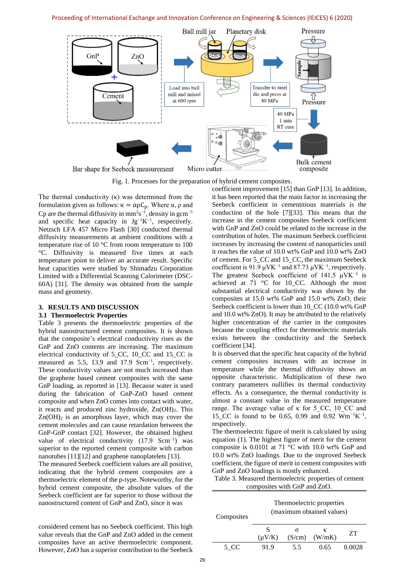## Proceeding of International Exchange and Innovation Conference on Engineering & Sciences (IEICES) 6 (2020)



Fig. 1. Processes for the preparation of hybrid cement composites.

<span id="page-3-0"></span>The thermal conductivity  $(\kappa)$  was determined from the formulation given as follows:  $\kappa = \alpha \rho C_p$ . Where α, ρ and Cp are the thermal diffusivity in  $mm^2s^{-1}$ , density in gcm<sup>-3</sup> and specific heat capacity in  $Jg^{-1}K^{-1}$ , respectively. Netzsch LFA 457 Micro Flash [30] conducted thermal diffusivity measurements at ambient conditions with a temperature rise of 10 °C from room temperature to 100 °C. Diffusivity is measured five times at each temperature point to deliver an accurate result. Specific heat capacities were studied by Shimadzu Corporation Limited with a Differential Scanning Calorimeter (DSC-60A) [31]. The density was obtained from the sample mass and geometry.

#### **3. RESULTS AND DISCUSSION**

# **3.1 Thermoelectric Properties**

[Table 3](#page-3-1) presents the thermoelectric properties of the hybrid nanostructured cement composites. It is shown that the composite's electrical conductivity rises as the GnP and ZnO contents are increasing. The maximum electrical conductivity of 5\_CC, 10\_CC and 15\_CC is measured as 5.5, 13.9 and 17.9 Scm<sup>-1</sup>, respectively. These conductivity values are not much increased than the graphene based cement composites with the same GnP loading, as reported in [13]. Because water is used during the fabrication of GnP-ZnO based cement composite and when ZnO comes into contact with water, it reacts and produced zinc hydroxide,  $Zn(OH)_2$ . This  $Zn(OH)_2$  is an amorphous layer, which may cover the cement molecules and can cause retardation between the GnP-GnP contact [32]. However, the obtained highest value of electrical conductivity  $(17.9 \text{ Sem}^{-1})$  was superior to the reported cement composite with carbon nanotubes [11][12] and graphene nanoplatelets [13].

The measured Seebeck coefficient values are all positive, indicating that the hybrid cement composites are a thermoelectric element of the p-type. Noteworthy, for the hybrid cement composite, the absolute values of the Seebeck coefficient are far superior to those without the nanostructured content of GnP and ZnO, since it was

considered cement has no Seebeck coefficient. This high value reveals that the GnP and ZnO added in the cement composites have an active thermoelectric component. However, ZnO has a superior contribution to the Seebeck

coefficient improvement [15] than GnP [13]. In addition, it has been reported that the main factor in increasing the Seebeck coefficient in cementitious materials is the conduction of the hole [7][33]. This means that the increase in the cement composites Seebeck coefficient with GnP and ZnO could be related to the increase in the contribution of holes. The maximum Seebeck coefficient increases by increasing the content of nanoparticles until it reaches the value of 10.0 wt% GnP and 10.0 wt% ZnO of cement. For 5\_CC and 15\_CC, the maximum Seebeck coefficient is 91.9  $\mu$ VK<sup>-1</sup> and 87.73  $\mu$ VK<sup>-1</sup>, respectively. The greatest Seebeck coefficient of 141.5  $\mu$ VK<sup>-1</sup> is achieved at 71 °C for 10\_CC. Although the most substantial electrical conductivity was shown by the composites at 15.0 wt% GnP and 15.0 wt% ZnO, their Seebeck coefficient is lower than 10\_CC (10.0 wt% GnP and 10.0 wt% ZnO). It may be attributed to the relatively higher concentration of the carrier in the composites because the coupling effect for thermoelectric materials exists between the conductivity and the Seebeck coefficient [34].

It is observed that the specific heat capacity of the hybrid cement composites increases with an increase in temperature while the thermal diffusivity shows an opposite characteristic. Multiplication of these two contrary parameters nullifies its thermal conductivity effects. As a consequence, the thermal conductivity is almost a constant value in the measured temperature range. The average value of κ for 5 CC, 10 CC and 15\_CC is found to be 0.65, 0.99 and 0.92  $Wm^{-1}K^{-1}$ , respectively.

The thermoelectric figure of merit is calculated by using equation (1). The highest figure of merit for the cement composite is 0.0101 at 71 °C with 10.0 wt% GnP and 10.0 wt% ZnO loadings. Due to the improved Seebeck coefficient, the figure of merit in cement composites with GnP and ZnO loadings is mostly enhanced.

<span id="page-3-1"></span>

| Table 3. Measured thermoelectric properties of cement |  |
|-------------------------------------------------------|--|
| composites with GnP and ZnO.                          |  |

| Composites | Thermoelectric properties<br>(maximum obtained values) |        |             |        |  |
|------------|--------------------------------------------------------|--------|-------------|--------|--|
|            | S<br>$(\mu V/K)$                                       | (S/cm) | ĸ<br>(W/mK) | 7T     |  |
| 5. CC      | 919                                                    | 55     | 0.65        | 0.0028 |  |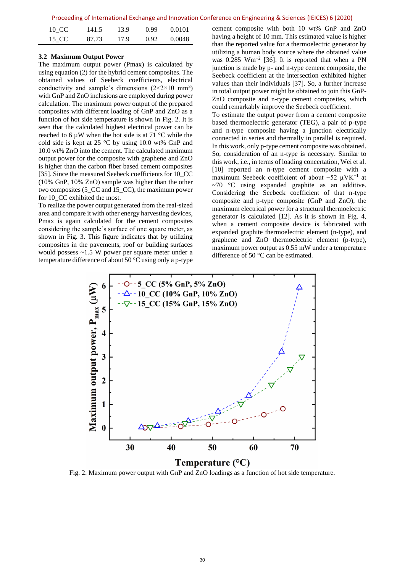|  |  |  | Proceeding of International Exchange and Innovation Conference on Engineering & Sciences (IEICES) 6 (2020) |  |  |  |  |  |  |
|--|--|--|------------------------------------------------------------------------------------------------------------|--|--|--|--|--|--|
|--|--|--|------------------------------------------------------------------------------------------------------------|--|--|--|--|--|--|

| 10 CC | 141.5 | 13.9 | 0.99 | 0.0101 |
|-------|-------|------|------|--------|
| 15 CC | 87.73 | 17.9 | 0.92 | 0.0048 |

# **3.2 Maximum Output Power**

The maximum output power (Pmax) is calculated by using equation (2) for the hybrid cement composites. The obtained values of Seebeck coefficients, electrical conductivity and sample's dimensions  $(2 \times 2 \times 10 \text{ mm}^3)$ with GnP and ZnO inclusions are employed during power calculation. The maximum power output of the prepared composites with different loading of GnP and ZnO as a function of hot side temperature is shown in [Fig. 2.](#page-4-0) It is seen that the calculated highest electrical power can be reached to 6  $\mu$ W when the hot side is at 71 °C while the cold side is kept at 25 °C by using 10.0 wt% GnP and 10.0 wt% ZnO into the cement. The calculated maximum output power for the composite with graphene and ZnO is higher than the carbon fiber based cement composites [35]. Since the measured Seebeck coefficients for 10\_CC (10% GnP, 10% ZnO) sample was higher than the other two composites (5\_CC and 15\_CC), the maximum power for 10\_CC exhibited the most.

To realize the power output generated from the real-sized area and compare it with other energy harvesting devices, Pmax is again calculated for the cement composites considering the sample's surface of one square meter, as shown in [Fig. 3.](#page-5-0) This figure indicates that by utilizing composites in the pavements, roof or building surfaces would possess ~1.5 W power per square meter under a temperature difference of about 50 °C using only a p-type cement composite with both 10 wt% GnP and ZnO having a height of 10 mm. This estimated value is higher than the reported value for a thermoelectric generator by utilizing a human body source where the obtained value was 0.285 Wm<sup>-2</sup> [36]. It is reported that when a PN junction is made by p- and n-type cement composite, the Seebeck coefficient at the intersection exhibited higher values than their individuals [37]. So, a further increase in total output power might be obtained to join this GnP-ZnO composite and n-type cement composites, which could remarkably improve the Seebeck coefficient.

To estimate the output power from a cement composite based thermoelectric generator (TEG), a pair of p-type and n-type composite having a junction electrically connected in series and thermally in parallel is required. In this work, only p-type cement composite was obtained. So, consideration of an n-type is necessary. Similar to this work, i.e., in terms of loading concertation, Wei et al. [10] reported an n-type cement composite with a maximum Seebeck coefficient of about −52 µVK−1 at  $~1$ <sup>o</sup>C using expanded graphite as an additive. Considering the Seebeck coefficient of that n-type composite and p-type composite (GnP and ZnO), the maximum electrical power for a structural thermoelectric generator is calculated [12]. As it is shown in [Fig. 4,](#page-5-1) when a cement composite device is fabricated with expanded graphite thermoelectric element (n-type), and graphene and ZnO thermoelectric element (p-type), maximum power output as 0.55 mW under a temperature difference of 50 °C can be estimated.



<span id="page-4-0"></span>Fig. 2. Maximum power output with GnP and ZnO loadings as a function of hot side temperature.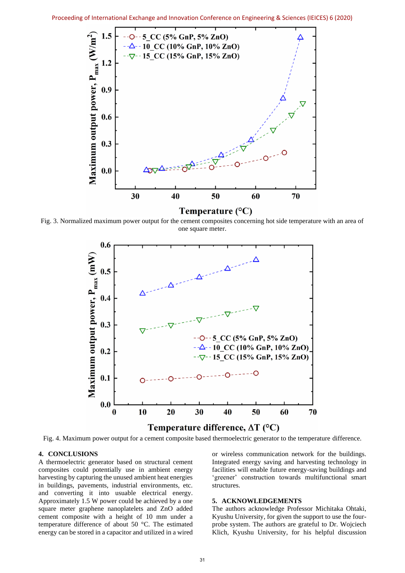

<span id="page-5-0"></span>Fig. 3. Normalized maximum power output for the cement composites concerning hot side temperature with an area of one square meter.



<span id="page-5-1"></span>Fig. 4. Maximum power output for a cement composite based thermoelectric generator to the temperature difference.

#### **4. CONCLUSIONS**

A thermoelectric generator based on structural cement composites could potentially use in ambient energy harvesting by capturing the unused ambient heat energies in buildings, pavements, industrial environments, etc. and converting it into usuable electrical energy. Approximately 1.5 W power could be achieved by a one square meter graphene nanoplatelets and ZnO added cement composite with a height of 10 mm under a temperature difference of about 50 °C. The estimated energy can be stored in a capacitor and utilized in a wired

or wireless communication network for the buildings. Integrated energy saving and harvesting technology in facilities will enable future energy-saving buildings and 'greener' construction towards multifunctional smart structures.

#### **5. ACKNOWLEDGEMENTS**

The authors acknowledge Professor Michitaka Ohtaki, Kyushu University, for given the support to use the fourprobe system. The authors are grateful to Dr. Wojciech Klich, Kyushu University, for his helpful discussion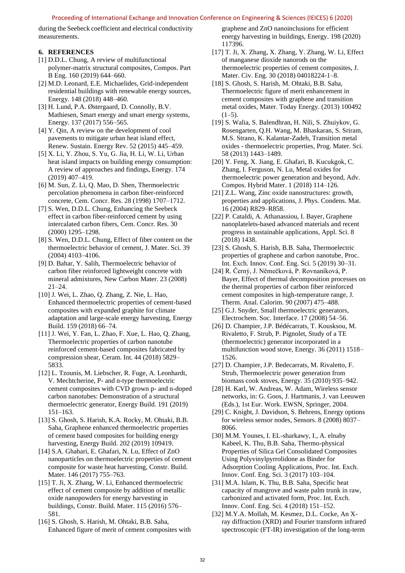# Proceeding of International Exchange and Innovation Conference on Engineering & Sciences (IEICES) 6 (2020)

during the Seebeck coefficient and electrical conductivity measurements.

# **6. REFERENCES**

- [1] D.D.L. Chung, A review of multifunctional polymer-matrix structural composites, Compos. Part B Eng. 160 (2019) 644–660.
- [2] M.D. Leonard, E.E. Michaelides, Grid-independent residential buildings with renewable energy sources, Energy. 148 (2018) 448–460.
- [3] H. Lund, P.A. Østergaard, D. Connolly, B.V. Mathiesen, Smart energy and smart energy systems, Energy. 137 (2017) 556–565.
- [4] Y. Qin, A review on the development of cool pavements to mitigate urban heat island effect, Renew. Sustain. Energy Rev. 52 (2015) 445–459.
- [5] X. Li, Y. Zhou, S. Yu, G. Jia, H. Li, W. Li, Urban heat island impacts on building energy consumption: A review of approaches and findings, Energy. 174 (2019) 407–419.
- [6] M. Sun, Z. Li, Q. Mao, D. Shen, Thermoelectric percolation phenomena in carbon fiber-reinforced concrete, Cem. Concr. Res. 28 (1998) 1707–1712.
- [7] S. Wen, D.D.L. Chung, Enhancing the Seebeck effect in carbon fiber-reinforced cement by using intercalated carbon fibers, Cem. Concr. Res. 30 (2000) 1295–1298.
- [8] S. Wen, D.D.L. Chung, Effect of fiber content on the thermoelectric behavior of cement, J. Mater. Sci. 39 (2004) 4103–4106.
- [9] D. Bahar, Y. Salih, Thermoelectric behavior of carbon fiber reinforced lightweight concrete with mineral admixtures, New Carbon Mater. 23 (2008) 21–24.
- [10] J. Wei, L. Zhao, Q. Zhang, Z. Nie, L. Hao, Enhanced thermoelectric properties of cement-based composites with expanded graphite for climate adaptation and large-scale energy harvesting, Energy Build. 159 (2018) 66–74.
- [11] J. Wei, Y. Fan, L. Zhao, F. Xue, L. Hao, Q. Zhang, Thermoelectric properties of carbon nanotube reinforced cement-based composites fabricated by compression shear, Ceram. Int. 44 (2018) 5829– 5833.
- [12] L. Tzounis, M. Liebscher, R. Fuge, A. Leonhardt, V. Mechtcherine, P- and n-type thermoelectric cement composites with CVD grown p- and n-doped carbon nanotubes: Demonstration of a structural thermoelectric generator, Energy Build. 191 (2019) 151–163.
- [13] S. Ghosh, S. Harish, K.A. Rocky, M. Ohtaki, B.B. Saha, Graphene enhanced thermoelectric properties of cement based composites for building energy harvesting, Energy Build. 202 (2019) 109419.
- [14] S.A. Ghahari, E. Ghafari, N. Lu, Effect of ZnO nanoparticles on thermoelectric properties of cement composite for waste heat harvesting, Constr. Build. Mater. 146 (2017) 755–763.
- [15] T. Ji, X. Zhang, W. Li, Enhanced thermoelectric effect of cement composite by addition of metallic oxide nanopowders for energy harvesting in buildings, Constr. Build. Mater. 115 (2016) 576– 581.
- [16] S. Ghosh, S. Harish, M. Ohtaki, B.B. Saha, Enhanced figure of merit of cement composites with

graphene and ZnO nanoinclusions for efficient energy harvesting in buildings, Energy. 198 (2020) 117396.

- [17] T. Ji, X. Zhang, X. Zhang, Y. Zhang, W. Li, Effect of manganese dioxide nanorods on the thermoelectric properties of cement composites, J. Mater. Civ. Eng. 30 (2018) 04018224-1–8.
- [18] S. Ghosh, S. Harish, M. Ohtaki, B.B. Saha, Thermoelectric figure of merit enhancement in cement composites with graphene and transition metal oxides, Mater. Today Energy. (2013) 100492  $(1-5)$ .
- [19] S. Walia, S. Balendhran, H. Nili, S. Zhuiykov, G. Rosengarten, Q.H. Wang, M. Bhaskaran, S. Sriram, M.S. Strano, K. Kalantar-Zadeh, Transition metal oxides - thermoelectric properties, Prog. Mater. Sci. 58 (2013) 1443–1489.
- [20] Y. Feng, X. Jiang, E. Ghafari, B. Kucukgok, C. Zhang, I. Ferguson, N. Lu, Metal oxides for thermoelectric power generation and beyond, Adv. Compos. Hybrid Mater. 1 (2018) 114–126.
- [21] Z.L. Wang, Zinc oxide nanostructures: growth, properties and applications, J. Phys. Condens. Mat. 16 (2004) R829–R858.
- [22] P. Cataldi, A. Athanassiou, I. Bayer, Graphene nanoplatelets-based advanced materials and recent progress in sustainable applications, Appl. Sci. 8 (2018) 1438.
- [23] S. Ghosh, S. Harish, B.B. Saha, Thermoelectric properties of graphene and carbon nanotube, Proc. Int. Exch. Innov. Conf. Eng. Sci. 5 (2019) 30–31.
- [24] R. Černý, J. Němečková, P. Rovnaníková, P. Bayer, Effect of thermal decomposition processes on the thermal properties of carbon fiber reinforced cement composites in high-temperature range, J. Therm. Anal. Calorim. 90 (2007) 475–488.
- [25] G.J. Snyder, Small thermoelectric generators, Electrochem. Soc. Interface. 17 (2008) 54–56.
- [26] D. Champier, J.P. Bédécarrats, T. Kousksou, M. Rivaletto, F. Strub, P. Pignolet, Study of a TE (thermoelectric) generator incorporated in a multifunction wood stove, Energy. 36 (2011) 1518– 1526.
- [27] D. Champier, J.P. Bedecarrats, M. Rivaletto, F. Strub, Thermoelectric power generation from biomass cook stoves, Energy. 35 (2010) 935–942.
- [28] H. Karl, W. Andreas, W. Adam, Wireless sensor networks, in: G. Goos, J. Hartmanis, J. van Leeuwen (Eds.), 1st Eur. Work. EWSN, Springer, 2004.
- [29] C. Knight, J. Davidson, S. Behrens, Energy options for wireless sensor nodes, Sensors. 8 (2008) 8037– 8066.
- [30] M.M. Younes, I. EL-sharkawy, I., A. elnaby Kabeel, K. Thu, B.B. Saha, Thermo-physical Properties of Silica Gel Consolidated Composites Using Polyvinylpyrrolidone as Binder for Adsorption Cooling Applications, Proc. Int. Exch. Innov. Conf. Eng. Sci. 3 (2017) 103–104.
- [31] M.A. Islam, K. Thu, B.B. Saha, Specific heat capacity of mangrove and waste palm trunk in raw, carbonized and activated form, Proc. Int. Exch. Innov. Conf. Eng. Sci. 4 (2018) 151–152.
- [32] M.Y.A. Mollah, M. Kesmez, D.L. Cocke, An Xray diffraction (XRD) and Fourier transform infrared spectroscopic (FT-IR) investigation of the long-term